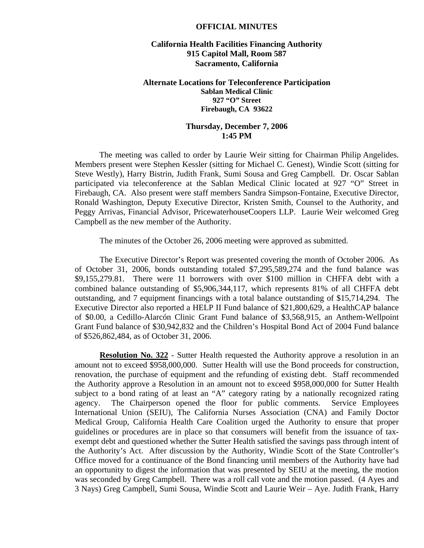## **OFFICIAL MINUTES**

## **California Health Facilities Financing Authority 915 Capitol Mall, Room 587 Sacramento, California**

## **Alternate Locations for Teleconference Participation Sablan Medical Clinic 927 "O" Street Firebaugh, CA 93622**

## **Thursday, December 7, 2006 1:45 PM**

 The meeting was called to order by Laurie Weir sitting for Chairman Philip Angelides. Members present were Stephen Kessler (sitting for Michael C. Genest), Windie Scott (sitting for Steve Westly), Harry Bistrin, Judith Frank, Sumi Sousa and Greg Campbell. Dr. Oscar Sablan participated via teleconference at the Sablan Medical Clinic located at 927 "O" Street in Firebaugh, CA. Also present were staff members Sandra Simpson-Fontaine, Executive Director, Ronald Washington, Deputy Executive Director, Kristen Smith, Counsel to the Authority, and Peggy Arrivas, Financial Advisor, PricewaterhouseCoopers LLP. Laurie Weir welcomed Greg Campbell as the new member of the Authority.

The minutes of the October 26, 2006 meeting were approved as submitted.

 The Executive Director's Report was presented covering the month of October 2006. As of October 31, 2006, bonds outstanding totaled \$7,295,589,274 and the fund balance was \$9,155,279.81. There were 11 borrowers with over \$100 million in CHFFA debt with a combined balance outstanding of \$5,906,344,117, which represents 81% of all CHFFA debt outstanding, and 7 equipment financings with a total balance outstanding of \$15,714,294. The Executive Director also reported a HELP II Fund balance of \$21,800,629, a HealthCAP balance of \$0.00, a Cedillo-Alarcón Clinic Grant Fund balance of \$3,568,915, an Anthem-Wellpoint Grant Fund balance of \$30,942,832 and the Children's Hospital Bond Act of 2004 Fund balance of \$526,862,484, as of October 31, 2006.

**Resolution No. 322** - Sutter Health requested the Authority approve a resolution in an amount not to exceed \$958,000,000. Sutter Health will use the Bond proceeds for construction, renovation, the purchase of equipment and the refunding of existing debt. Staff recommended the Authority approve a Resolution in an amount not to exceed \$958,000,000 for Sutter Health subject to a bond rating of at least an "A" category rating by a nationally recognized rating agency. The Chairperson opened the floor for public comments. Service Employees International Union (SEIU), The California Nurses Association (CNA) and Family Doctor Medical Group, California Health Care Coalition urged the Authority to ensure that proper guidelines or procedures are in place so that consumers will benefit from the issuance of taxexempt debt and questioned whether the Sutter Health satisfied the savings pass through intent of the Authority's Act. After discussion by the Authority, Windie Scott of the State Controller's Office moved for a continuance of the Bond financing until members of the Authority have had an opportunity to digest the information that was presented by SEIU at the meeting, the motion was seconded by Greg Campbell. There was a roll call vote and the motion passed. (4 Ayes and 3 Nays) Greg Campbell, Sumi Sousa, Windie Scott and Laurie Weir – Aye. Judith Frank, Harry